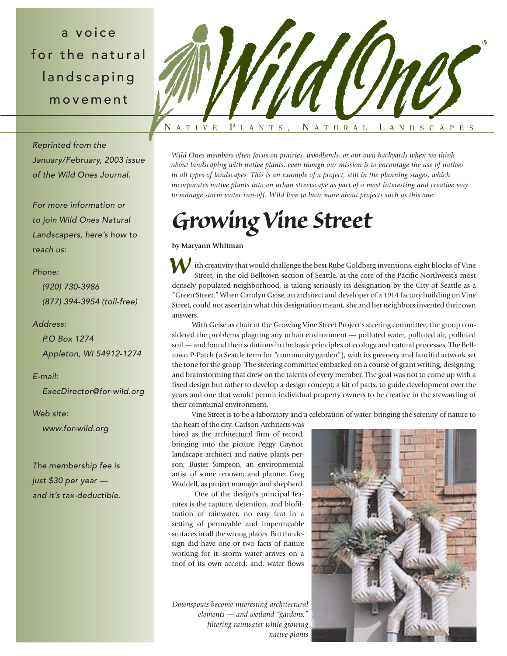a voice for the natural landscaping movement

*Reprinted from the January/February, 2003 issue of the Wild Ones Journal.*

*For more information or to join Wild Ones Natural Landscapers, here's how to reach us:*

## *Phone:*

*(920) 730-3986 (877) 394-3954 (toll-free)*

### *Address:*

*P.O Box 1274 Appleton, WI 54912-1274*

### *E-mail:*

*ExecDirector@for-wild.org*

#### *Web site:*

*www.for-wild.org*

*The membership fee is just \$30 per year and it's tax-deductible.*



*Wild Ones members often focus on prairies, woodlands, or our own backyards when we think about landscaping with native plants, even though our mission is to encourage the use of natives in all types of landscapes. This is an example of a project, still in the planning stages, which incorporates native plants into an urban streetscape as part of a most interesting and creative way to manage storm water run-off. Wild love to hear more about projects such as this one.*

# *Growing Vine Street*

**by Maryann Whitman**

ith creativity that would challenge the best Rube Goldberg inventions, eight blocks of Vine Street, in the old Belltown section of Seattle, at the core of the Pacific Northwest's most densely populated neighborhood, is taking seriously its designation by the City of Seattle as a "Green Street." When Carolyn Geise, an architect and developer of a 1914 factory building on Vine Street, could not ascertain what this designation meant, she and her neighbors invented their own answers. *W*

With Geise as chair of the Growing Vine Street Project's steering committee, the group considered the problems plaguing any urban environment — polluted water, polluted air, polluted soil — and found their solutions in the basic principles of ecology and natural processes. The Belltown P-Patch (a Seattle term for "community garden"), with its greenery and fanciful artwork set the tone for the group. The steering committee embarked on a course of grant writing, designing, and brainstorming that drew on the talents of every member. The goal was not to come up with a fixed design but rather to develop a design concept; a kit of parts, to guide development over the years and one that would permit individual property owners to be creative in the stewarding of their communal environment.

Vine Street is to be a laboratory and a celebration of water, bringing the serenity of nature to

the heart of the city. Carlson Architects was hired as the architectural firm of record, bringing into the picture Peggy Gaynor, landscape architect and native plants person; Buster Simpson, an environmental artist of some renown; and planner Greg Waddell, as project manager and shepherd.

One of the design's principal features is the capture, detention, and biofiltration of rainwater, no easy feat in a setting of permeable and impermeable surfaces in all the wrong places. But the design did have one or two facts of nature working for it: storm water arrives on a roof of its own accord; and, water flows

*Downspouts become interesting architectural elements — and wetland "gardens," filtering rainwater while growing native plants*